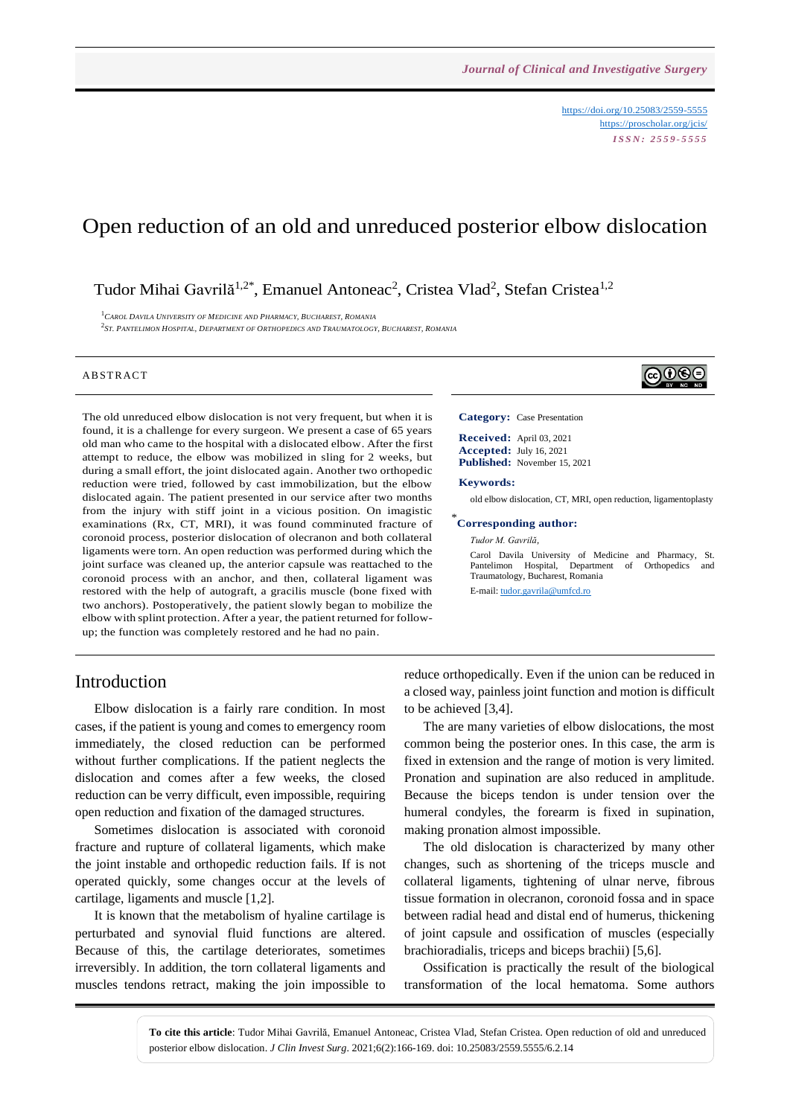<https://doi.org/10.25083/2559-5555> <https://proscholar.org/jcis/> *I S S N : 2 5 5 9 - 5 5 5 5*

# Open reduction of an old and unreduced posterior elbow dislocation

Tudor Mihai Gavrilă<sup>1,2\*</sup>, Emanuel Antoneac<sup>2</sup>, Cristea Vlad<sup>2</sup>, Stefan Cristea<sup>1,2</sup>

<sup>1</sup>*CAROL DAVILA UNIVERSITY OF MEDICINE AND PHARMACY, BUCHAREST, ROMANIA*

 $^2$ St. Pantelimon Hospital, Department of Orthopedics and Traumatology, Bucharest, Romania

#### A B STR ACT

The old unreduced elbow dislocation is not very frequent, but when it is found, it is a challenge for every surgeon. We present a case of 65 years old man who came to the hospital with a dislocated elbow. After the first attempt to reduce, the elbow was mobilized in sling for 2 weeks, but during a small effort, the joint dislocated again. Another two orthopedic reduction were tried, followed by cast immobilization, but the elbow dislocated again. The patient presented in our service after two months from the injury with stiff joint in a vicious position. On imagistic examinations (Rx, CT, MRI), it was found comminuted fracture of coronoid process, posterior dislocation of olecranon and both collateral ligaments were torn. An open reduction was performed during which the joint surface was cleaned up, the anterior capsule was reattached to the coronoid process with an anchor, and then, collateral ligament was restored with the help of autograft, a gracilis muscle (bone fixed with two anchors). Postoperatively, the patient slowly began to mobilize the elbow with splint protection. After a year, the patient returned for followup; the function was completely restored and he had no pain.

# ெ⊕

**Category:** Case Presentation

**Received:** April 03, 2021 **Accepted:** July 16, 2021 **Published:** November 15, 2021

#### **Keywords:**

old elbow dislocation, CT, MRI, open reduction, ligamentoplasty

#### \* **Corresponding author:**

*Tudor M. Gavrilă,*

Carol Davila University of Medicine and Pharmacy, St. Pantelimon Hospital, Department of Orthopedics and Traumatology, Bucharest, Romania E-mail: [tudor.gavrila@umfcd.ro](mailto:tudor.gavrila@umfcd.ro)

# Introduction

Elbow dislocation is a fairly rare condition. In most cases, if the patient is young and comes to emergency room immediately, the closed reduction can be performed without further complications. If the patient neglects the dislocation and comes after a few weeks, the closed reduction can be verry difficult, even impossible, requiring open reduction and fixation of the damaged structures.

Sometimes dislocation is associated with coronoid fracture and rupture of collateral ligaments, which make the joint instable and orthopedic reduction fails. If is not operated quickly, some changes occur at the levels of cartilage, ligaments and muscle [1,2].

It is known that the metabolism of hyaline cartilage is perturbated and synovial fluid functions are altered. Because of this, the cartilage deteriorates, sometimes irreversibly. In addition, the torn collateral ligaments and muscles tendons retract, making the join impossible to reduce orthopedically. Even if the union can be reduced in a closed way, painless joint function and motion is difficult to be achieved [3,4].

The are many varieties of elbow dislocations, the most common being the posterior ones. In this case, the arm is fixed in extension and the range of motion is very limited. Pronation and supination are also reduced in amplitude. Because the biceps tendon is under tension over the humeral condyles, the forearm is fixed in supination, making pronation almost impossible.

The old dislocation is characterized by many other changes, such as shortening of the triceps muscle and collateral ligaments, tightening of ulnar nerve, fibrous tissue formation in olecranon, coronoid fossa and in space between radial head and distal end of humerus, thickening of joint capsule and ossification of muscles (especially brachioradialis, triceps and biceps brachii) [5,6].

Ossification is practically the result of the biological transformation of the local hematoma. Some authors

**To cite this article**: Tudor Mihai Gavrilă, Emanuel Antoneac, Cristea Vlad, Stefan Cristea. Open reduction of old and unreduced posterior elbow dislocation. *J Clin Invest Surg*. 2021;6(2):166-169. doi: 10.25083/2559.5555/6.2.14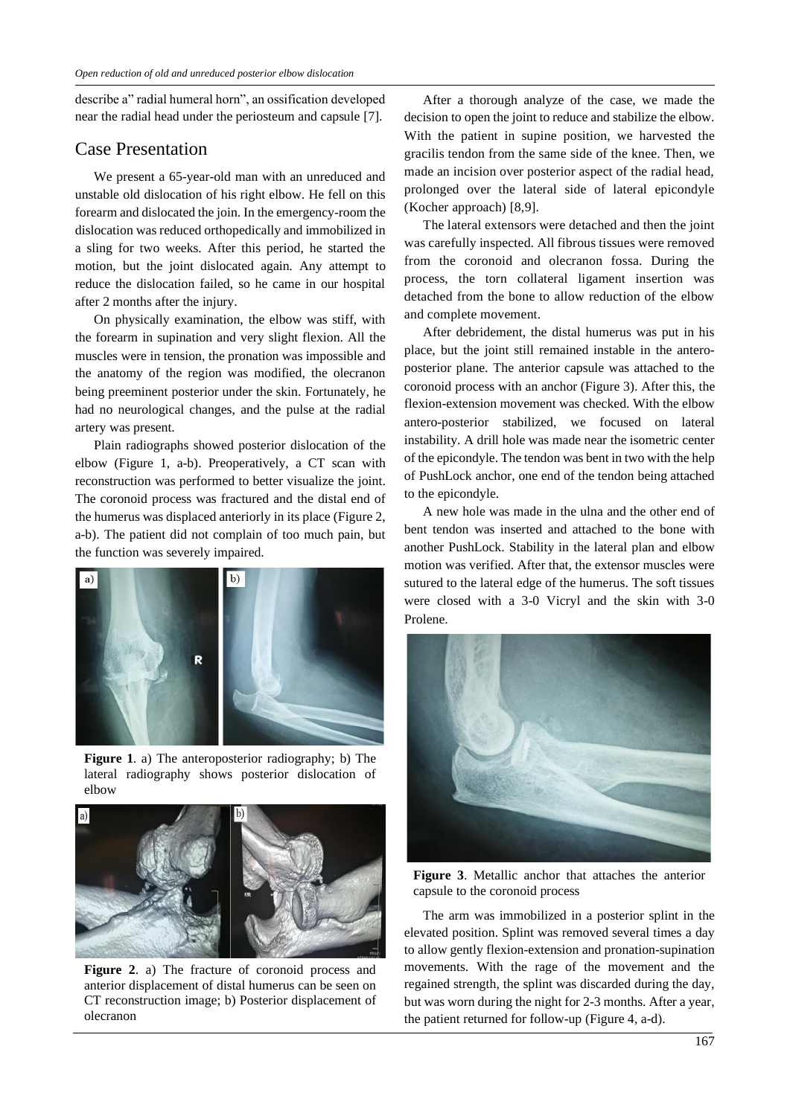describe a" radial humeral horn", an ossification developed near the radial head under the periosteum and capsule [7].

#### Case Presentation

We present a 65-year-old man with an unreduced and unstable old dislocation of his right elbow. He fell on this forearm and dislocated the join. In the emergency-room the dislocation was reduced orthopedically and immobilized in a sling for two weeks. After this period, he started the motion, but the joint dislocated again. Any attempt to reduce the dislocation failed, so he came in our hospital after 2 months after the injury.

On physically examination, the elbow was stiff, with the forearm in supination and very slight flexion. All the muscles were in tension, the pronation was impossible and the anatomy of the region was modified, the olecranon being preeminent posterior under the skin. Fortunately, he had no neurological changes, and the pulse at the radial artery was present.

Plain radiographs showed posterior dislocation of the elbow (Figure 1, a-b). Preoperatively, a CT scan with reconstruction was performed to better visualize the joint. The coronoid process was fractured and the distal end of the humerus was displaced anteriorly in its place (Figure 2, a-b). The patient did not complain of too much pain, but the function was severely impaired.



**Figure 1**. a) The anteroposterior radiography; b) The lateral radiography shows posterior dislocation of elbow



**Figure 2**. a) The fracture of coronoid process and anterior displacement of distal humerus can be seen on CT reconstruction image; b) Posterior displacement of olecranon

After a thorough analyze of the case, we made the decision to open the joint to reduce and stabilize the elbow. With the patient in supine position, we harvested the gracilis tendon from the same side of the knee. Then, we made an incision over posterior aspect of the radial head, prolonged over the lateral side of lateral epicondyle (Kocher approach) [8,9].

The lateral extensors were detached and then the joint was carefully inspected. All fibrous tissues were removed from the coronoid and olecranon fossa. During the process, the torn collateral ligament insertion was detached from the bone to allow reduction of the elbow and complete movement.

After debridement, the distal humerus was put in his place, but the joint still remained instable in the anteroposterior plane. The anterior capsule was attached to the coronoid process with an anchor (Figure 3). After this, the flexion-extension movement was checked. With the elbow antero-posterior stabilized, we focused on lateral instability. A drill hole was made near the isometric center of the epicondyle. The tendon was bentin two with the help of PushLock anchor, one end of the tendon being attached to the epicondyle.

A new hole was made in the ulna and the other end of bent tendon was inserted and attached to the bone with another PushLock. Stability in the lateral plan and elbow motion was verified. After that, the extensor muscles were sutured to the lateral edge of the humerus. The soft tissues were closed with a 3-0 Vicryl and the skin with 3-0 Prolene.



**Figure 3**. Metallic anchor that attaches the anterior capsule to the coronoid process

The arm was immobilized in a posterior splint in the elevated position. Splint was removed several times a day to allow gently flexion-extension and pronation-supination movements. With the rage of the movement and the regained strength, the splint was discarded during the day, but was worn during the night for 2-3 months. After a year, the patient returned for follow-up (Figure 4, a-d).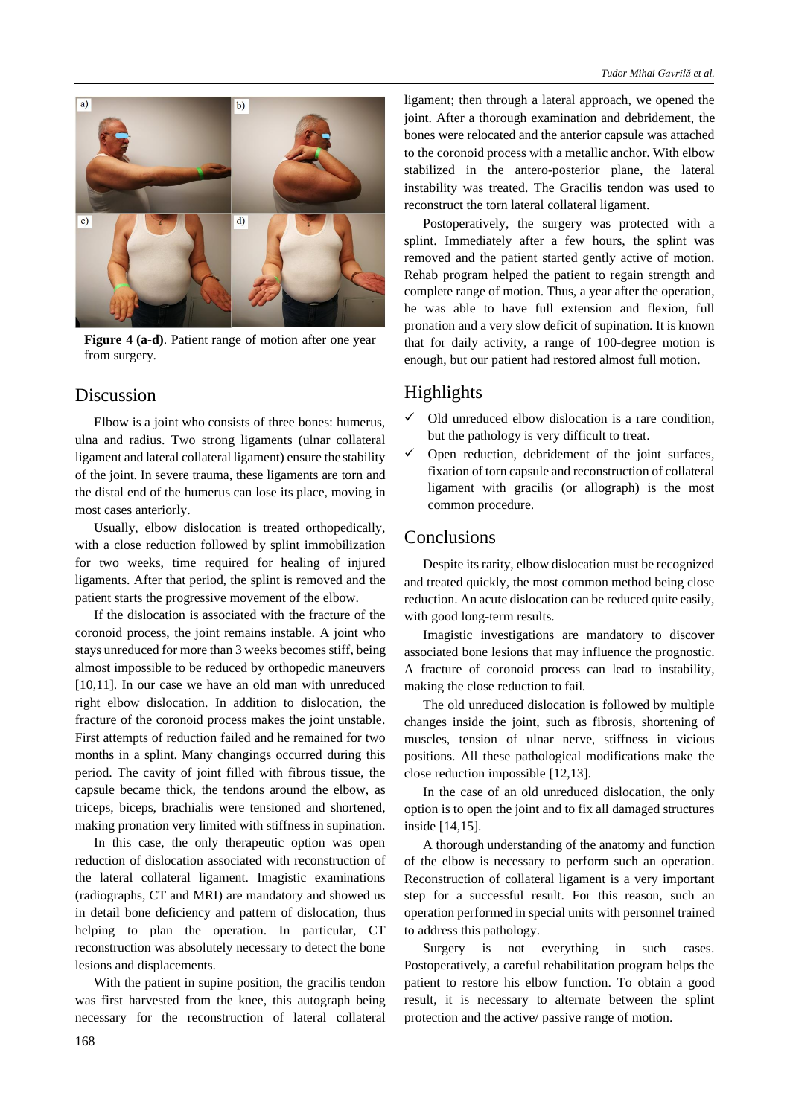

Figure 4 (a-d). Patient range of motion after one year from surgery.

## Discussion

Elbow is a joint who consists of three bones: humerus, ulna and radius. Two strong ligaments (ulnar collateral ligament and lateral collateral ligament) ensure the stability of the joint. In severe trauma, these ligaments are torn and the distal end of the humerus can lose its place, moving in most cases anteriorly.

Usually, elbow dislocation is treated orthopedically, with a close reduction followed by splint immobilization for two weeks, time required for healing of injured ligaments. After that period, the splint is removed and the patient starts the progressive movement of the elbow.

If the dislocation is associated with the fracture of the coronoid process, the joint remains instable. A joint who stays unreduced for more than 3 weeks becomes stiff, being almost impossible to be reduced by orthopedic maneuvers [10,11]. In our case we have an old man with unreduced right elbow dislocation. In addition to dislocation, the fracture of the coronoid process makes the joint unstable. First attempts of reduction failed and he remained for two months in a splint. Many changings occurred during this period. The cavity of joint filled with fibrous tissue, the capsule became thick, the tendons around the elbow, as triceps, biceps, brachialis were tensioned and shortened, making pronation very limited with stiffness in supination.

In this case, the only therapeutic option was open reduction of dislocation associated with reconstruction of the lateral collateral ligament. Imagistic examinations (radiographs, CT and MRI) are mandatory and showed us in detail bone deficiency and pattern of dislocation, thus helping to plan the operation. In particular, CT reconstruction was absolutely necessary to detect the bone lesions and displacements.

With the patient in supine position, the gracilis tendon was first harvested from the knee, this autograph being necessary for the reconstruction of lateral collateral ligament; then through a lateral approach, we opened the joint. After a thorough examination and debridement, the bones were relocated and the anterior capsule was attached to the coronoid process with a metallic anchor. With elbow stabilized in the antero-posterior plane, the lateral instability was treated. The Gracilis tendon was used to reconstruct the torn lateral collateral ligament.

Postoperatively, the surgery was protected with a splint. Immediately after a few hours, the splint was removed and the patient started gently active of motion. Rehab program helped the patient to regain strength and complete range of motion. Thus, a year after the operation, he was able to have full extension and flexion, full pronation and a very slow deficit of supination. It is known that for daily activity, a range of 100-degree motion is enough, but our patient had restored almost full motion.

# Highlights

- $\checkmark$  Old unreduced elbow dislocation is a rare condition, but the pathology is very difficult to treat.
- $\checkmark$  Open reduction, debridement of the joint surfaces, fixation of torn capsule and reconstruction of collateral ligament with gracilis (or allograph) is the most common procedure.

## Conclusions

Despite its rarity, elbow dislocation must be recognized and treated quickly, the most common method being close reduction. An acute dislocation can be reduced quite easily, with good long-term results.

Imagistic investigations are mandatory to discover associated bone lesions that may influence the prognostic. A fracture of coronoid process can lead to instability, making the close reduction to fail.

The old unreduced dislocation is followed by multiple changes inside the joint, such as fibrosis, shortening of muscles, tension of ulnar nerve, stiffness in vicious positions. All these pathological modifications make the close reduction impossible [12,13].

In the case of an old unreduced dislocation, the only option is to open the joint and to fix all damaged structures inside [14,15].

A thorough understanding of the anatomy and function of the elbow is necessary to perform such an operation. Reconstruction of collateral ligament is a very important step for a successful result. For this reason, such an operation performed in special units with personnel trained to address this pathology.

Surgery is not everything in such cases. Postoperatively, a careful rehabilitation program helps the patient to restore his elbow function. To obtain a good result, it is necessary to alternate between the splint protection and the active/ passive range of motion.